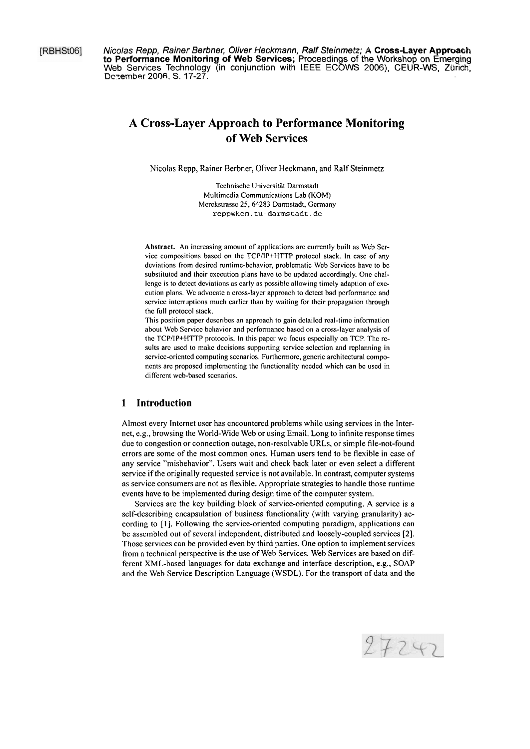[RBHSt06]

Nicolas Repp, Rainer Berbner, Oliver Heckmann, **Ralf** Steinmetz; **A Cross-Layer Approach to Performance Monitoring of Web Services;** Proceedings of the Workshop on **Emerging**  Web Services Technology (in conjunction with IEEE ECOWS 2006), CEUR-WS, Zürich, Dczember **2096.** S. 17-27.

# **A Cross-Layer Approach to Performance Monitoring of Web Services**

Nicolas Repp, Rainer Berbner, Olivcr Heckmann, and Ralf Steinmetz

Tcchnischc Universität Darmstadt Multimedia Communications Lab (KOM) Mcrckstrassc 25,64283 Darmstadt, Gcrmany **repp@kom.tu-darrnstadt.de** 

Abstract. An increasing amount of applications arc currently built as Web Scrvice compositions based on the TCP/IP+HTTP protocol stack. In case of any dcviations from dcsircd runtimc-bchavior, problcmatic Wcb Scrviccs havc to bc substituted and their execution plans have to be updated accordingly. One challenge is to detect deviations as early as possible allowing timely adaption of execution plans. Wc advocatc a cross-laycr approach to dctcct bad pcrformancc and scrvice interruptions much carlier than by waiting for their propagation through thc full protocol stack.

This position papcr dcscribcs an approach to gain dctailcd rcal-timc information about Wcb Scrvicc bchavior and pcrformancc bascd on a cross-laycr analysis of thc TCP/IP+HTTP protocols. In this papcr wc focus cspccially on TCP. Thc rcsults arc uscd to makc dccisions supporting scrvicc sclcction and rcplanning in scrvice-oriented computing scenarios. Furthermore, generic architectural componcnts arc proposcd implcmcnting thc functionality nccdcd which can bc uscd in diffcrcnt wcb-bascd sccnarios.

# **1 Introduction**

Almost every Internet user has encountered problems while using services in the Internet, e.g., browsing the World-Wide Web or using Email. Long to infinite response times due to congestion or connection outage, non-resolvable URLs, or simple file-not-found errors are some of the most common ones. Human users tend to be flexible in case of any service "misbehavior". Users wait and check back later or even select a different scrvice if the originally requested service is not available. In contrast, computer systems as service consumers are not as flexible. Appropriate strategies to handle those runtime events have to be implemented during design time of the computer system.

Services are the key building block of service-oriented computing. A service is a self-describing encapsulation of business functionality (with varying granularity) according to [I]. Following the service-oriented computing paradigm, applications can bc assembled out of several independent, distributed and loosely-coupled services **[2].**  Those services can be provided even by third parties. One option to implemcnt services from a technical perspective is the use of Web Services. Web Services are based on different XML-based languages for data exchange and interface description, e.g., SOAP and the Web Service Description Language (WSDL). For the transport of data and the

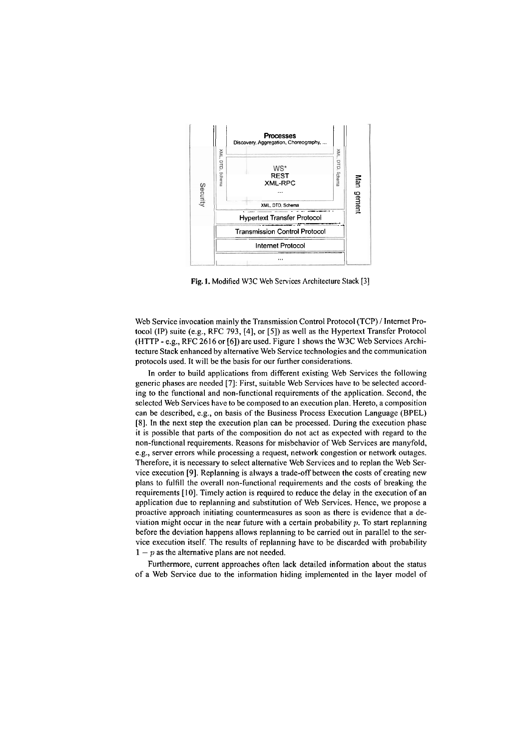

Fig. 1. Modified W3C Web Services Architecture Stack [3]

Web Service invocation mainly the Transmission Control Protocol (TCP) / Internet Protocol (IP) suite (e.g., RFC 793, **[4],** or [5]) as well as the Hypertext Transfcr Protocol (HTTP - e.g., RFC 261 6 or **[6])** are used. Figure 1 shows the W3C Web Services Architecture Stack enhanced by alternative Web Service technologies and the communication protocols used. It will be the basis for our further considerations.

In order to build applications from different existing Web Services the following generic phases are needed [7]: First, suitable Web Services have to be selected according to the functional and non-functional requirements of the application. Second, the selected Web Services have to be composed to an execution plan. Hereto, a composition can be described, e.g., on basis of the Business Process Execution Language (BPEL) [8]. In the next step the execution plan can be processed. During the execution phase it is possible that parts of the composition do not act as expected with regard to the non-functional requirements. Reasons for misbchavior of Web Services are manyfold, e.g., Server errors while processing a request, network congestion or network outages. Therefore, it is necessary to select alternative Web Services and to replan the Web Service execution [9]. Replanning is always a trade-off between the costs of creating ncw plans to fulfill the overall non-functional requirements and the costs of breaking the requirements [IO]. Timely action is required to reduce the delay in the execution of an application due to replanning and substitution of Web Services. Hence, we propose a proactive approach initiating countermcasures as soon as therc is evidence that a deviation might occur in the near future with a certain probability  $p$ . To start replanning before the deviation happens allows replanning to be carried out in parallel to the service execution itself. The results of replanning have to be discarded with probability  $1-p$  as the alternative plans are not needed.

Furthermore, current approaches often lack detailed information about the status of a Web Service due to the information hiding implemented in the layer model of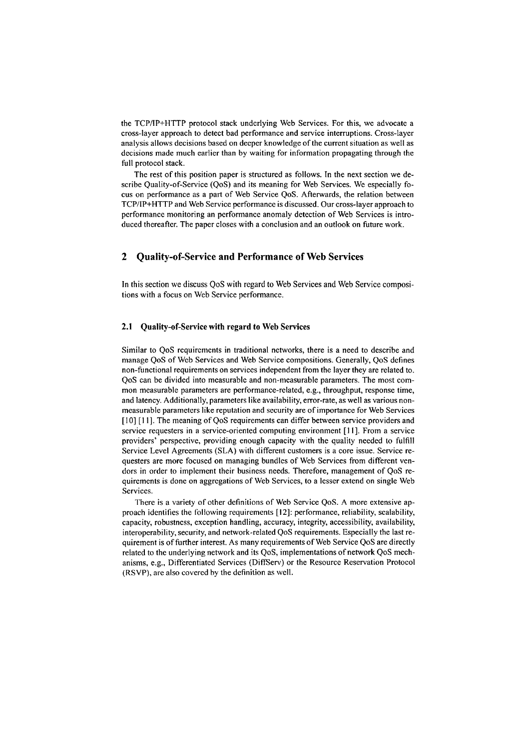the TCP/IP+HTTP protocol stack underlying Web Services. For this, we advocate a cross-layer approach to detect bad performance and service interruptions. Cross-layer analysis allows decisions based on decper knowledge of the current situation as well as dccisions made much earlier than by waiting for information propagating through the full protocol stack.

The rest of this position paper is structured as follows. In the next section we describe Quality-of-Service (QoS) and its meaning for Web Services. We especially focus on performance as a part of Web Service QoS. Afterwards, the relation between TCP/IP+HTTP and Web Service performance is discussed. Our cross-layer approach to performance monitoring an performance anomaly detection of Web Services is introduced thereafter. The paper closes with a conclusion and an outlook on future work.

## **2 Quality-of-Service and Performance of Web Services**

In this section we discuss QoS with regard to Web Services and Web Service compositions with a focus on Web Service performance.

#### **2.1** Quality-of-Service with regard **to** Web Services

Similar to QoS requircments in traditional networks, there is a need to describe and manage QoS of Web Services and Web Service compositions. Generally, QoS defines non-functional requircments on serviccs independent from the layer they are related to. QoS can be divided into measurable and non-measurable parameters. The most common measurable parameters are performance-related, e.g., throughput, response time, and latency. Additionally, parameters like availability, error-rate, as well as various nonmeasurable parameters like reputation and security are of importance for Web Services [10] [11]. The meaning of QoS requirements can differ between service providers and service requesters in a service-oriented computing environment [I I]. From a service providers' perspective, providing enough capacity with the quality needed to fulfill Service Level Agreements (SLA) with different customers is a core issue. Service requesters are more focused on managing bundles of Web Services from different vendors in order to implement their business needs. Therefore, management of QoS requirements is done on aggrcgations of Web Services, to a lesser extend on single Web Services.

There is a variety of other definitions of Web Service QoS. **A** more extensive approach identifies the following requirements [I 21: performance, reliability, scalability, capacity, robustncss, exception handling, accuracy, integrity, accessibility, availability, interoperability, security, and network-related QoS requirements. Especially the last requirement is of further interest. As many requirements of Web Service QoS are directly related to the underlying network and its QoS, implementations of network QoS mechanisms, e.g., Differcntiatcd Services (DiffServ) or the Resource Reservation Protocol (RSVP), are also covered by the dcfinition as well.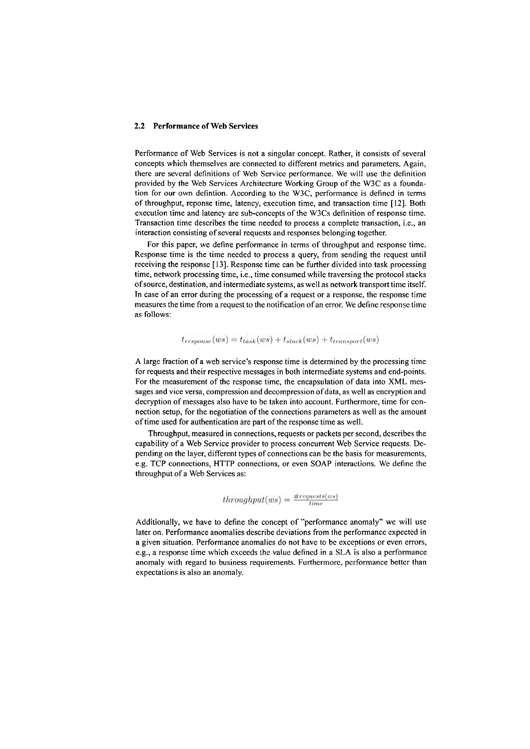### 2.2 Performance of Web Services

Performance of Web Services is not a singular concept. Rather, it consists of several concepts which themselves are connected to different metrics and parameters. Again, there are several definitions of' Web Service performance. We will use the definition provided by the Web Services Architecture Working Group of the W3C as a foundation for our own defintion. According to the W3C, performance is defined in terms of throughput, reponse time, latency, execution time, and transaction time [12]. Both execution time and latency are sub-concepts of the W3Cs definition of response time. Transaction time describes the time needed to process a complete transaction, i.e., an interaction consisting of several requests and responses belonging togcther.

For this paper, we define performance in terms of throughput and response time. Response time is the time needed to process a query, from sending the request until receiving the response [13]. Response time can be further divided into task processing time, network processing time, i.e., time consumed while traversing the protocol stacks of source, destination, and intermediate systeins, as well as network transport time itself. In case of an error during the processing of a request or a response, the response time measures the time from a request to the notification ofan error. We define response time as follows:

$$
t_{response}(ws) = t_{task}(ws) + t_{stack}(ws) + t_{transport}(ws)
$$

A large fraction of a web service's response time is determined by the processing time for requests and their respective messages in both intermediate systems and end-points. For the measurement of the response time, the encapsulation of data into XML messages and vice versa, compression and decompression of data, as well as encryption and decryption of messages also have to be taken into account. Furthermore, time for connection setup, for the negotiation of the connections parameters as well as the amount of time used for authentication are Part of the response time as well.

Throughput, measured in connections, requests or packets per second, dcscribes the capability of a Web Service provider to process concurrent Web Service requests. Depending on the layer, different types of connections can be the basis for measuremcnts, e.g. TCP connections, HTTP connections, or even SOAP interactions. We define the throughput of a Web Services as:

$$
throughput(ws)=\frac{\# requests(ws)}{time}
$$

Additionally, we have to define the concept of "performance anomaly" we will use later on. Performance anomalies describe deviations from the performance expected in a given situation. Performance anomalies do not havc to be exceptions or cven errors, e.g., a response time which exceeds the value defined in a SLA is also a performance anomaly with regard to business requirements. Furthermore, performance better than expectations is also an anomaly.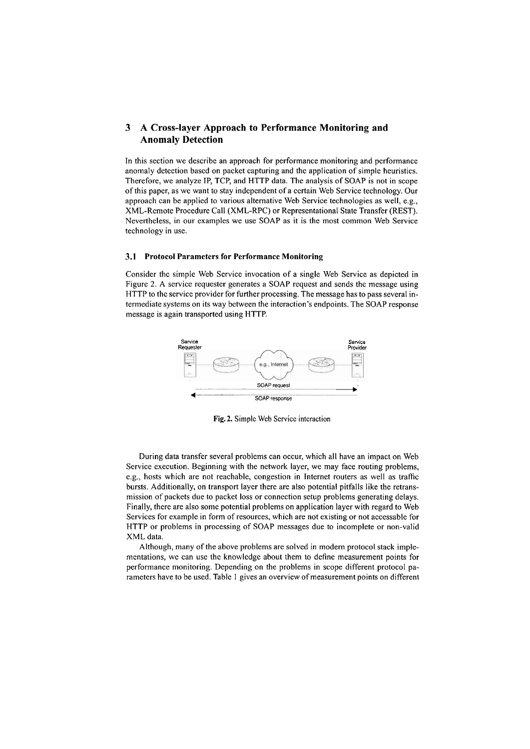# **3 A Cross-layer Approach to Performance Monitoring and Anomaly Detection**

In this section we describe an approach for performance monitoring and performance anomaly detection based on packet capturing and the application of simple heuristics. Therefore, we analyze IP, TCP, and HTTP data. The analysis of SOAP is not in scope of this Paper, as we Want to stay independent of a certain Web Service technology. Our approach can be applicd to various alternative Web Service technologies as well, e.g., XML-Remote Procedure Call (XML-RPC) or Representational State Transfer (REST). Nevertheless, in our examples we use SOAP as it is the most common Web Service technology in use.

#### **3.1 Protocol Parameters for Performance Monitoring**

Consider the simple Web Service invocation of a single Web Service as depicted in Figure 2. A servicc requester generates a SOAP request and sends the message using HTTP to thc service provider for further processing. The message has to pass several intermediate systems on its way bctween the interaction's endpoints. The SOAP response message is again transported using HTTP.



**Fig. 2.** Simplc Wcb Scrvicc intcraction

During data transfer several problems can occur, which all have an impact on Web Service execution. Beginning with the network layer, we may face routing problems, e.g., hosts which are not reachable, congestion in Internet routers as well as traffic bursts. Additionally, on transport layer there are also potential pitfalls like the retransmission of packets due to packet loss or connection setup problems generating delays. Finally, there are also some potential problems on application laycr with regard to Web Services for example in form of resources, which are not existing or not accessable for HTTP or problems in processing of SOAP messages due to incomplete or non-valid XML data.

Although, many of the above problems are solved in modern protocol stack implementations, we can use the knowledge about them to define measurement points for performance monitoring. Depending on the problems in scope different protocol parameters have to be uscd. Tablc 1 gives an overview of measurement points on different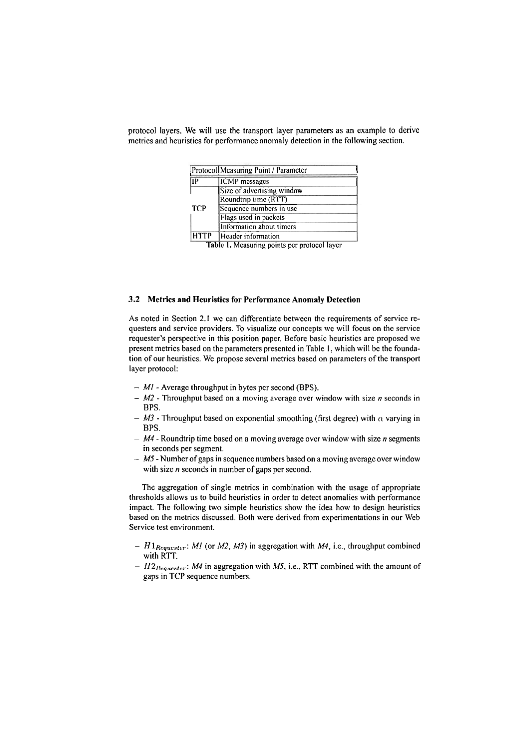| Protocol Measuring Point / Parameter         |                            |  |  |
|----------------------------------------------|----------------------------|--|--|
| IP                                           | ICMP messages              |  |  |
| <b>TCP</b>                                   | Size of advertising window |  |  |
|                                              | Roundtrip time (RTT)       |  |  |
|                                              | Sequence numbers in use    |  |  |
|                                              | Flags used in packets      |  |  |
|                                              | Information about timers   |  |  |
| <b>HTTP</b>                                  | Header information         |  |  |
| Table 1. Measuring points per protocol layer |                            |  |  |

protocol layers. We will use the transport layer parameters as an example to derive metrics and heuristics for performance anomaly detection in the following section.

#### **3.2 Metrics and Heuristics for Performance Anomaly Detection**

As noted in Section 2.1 wc can differentiate betwecn thc requirements of service requesters and service providers. To visualize our concepts we will focus on the service requester's perspective in this position paper. Before basic heuristics are proposed we present metrics based on the parameters presentcd in Table I, which will be the foundation of our heuristics. We propose several metrics based on parameters of the transport layer protocol:

- *MI* Average throughput in bytes per second (BPS).
- *M2*  Throughput based on a nioving average over window with size *n* seconds in BPS.
- $-M3$  Throughput based on exponential smoothing (first degree) with  $\alpha$  varying in BPS.
- M4 Roundtrip time based on a moving average over window with size *n* segments in seconds per segment.
- *M5* Number of gaps in sequence numbers based on a moving average over window with size *n* seconds in number of gaps per second.

The aggregation of single metrics in combination with the usage of appropriate thresholds allows us to build heuristics in order to detect anomalies with performance impact. The following two simple heuristics show the idea how to design heuristics based on the metrics discussed. Both were derived from experimentations in our Web Service test environment.

- $H1_{Requester}$ : *MI* (or *M2, M3*) in aggregation with *M4*, i.e., throughput combined with RTT.
- $H2_{Requester}$ : *M4* in aggregation with *M5*, i.e., RTT combined with the amount of gaps in TCP sequence numbers.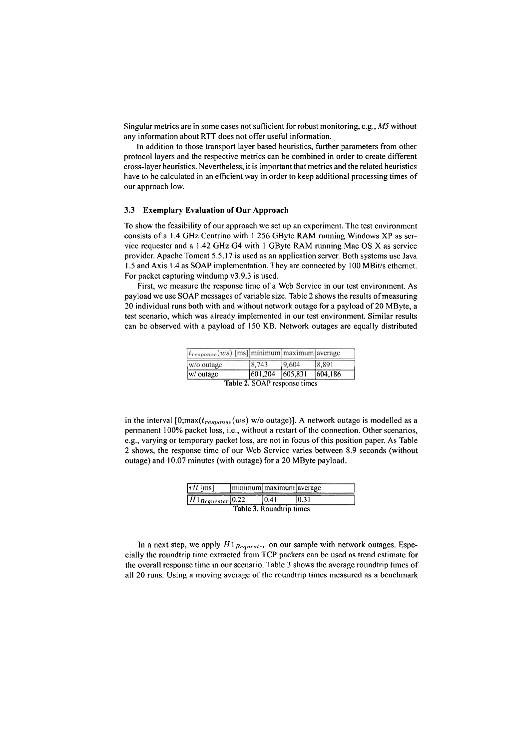Singular metrics are in some cases not sufficient for robust monitoring, e.g., **M5** without any information about RTT does not offer useful information.

In addition to those transport layer based heuristics, further parameters from other protocol layers and the respectivc metrics can be combined in order to create different cross-layer heuristics. Nevertheless, it is important that metrics and the related heuristics have to be calculated in an efficient way in order to keep additional processing times of our approach low.

### **3.3 Exemplary Evaluation of Our Approach**

To show the feasibility of our approach we set up an expcriment. Thc test environment consists of a 1.4 GHz Centrino with 1.256 GByte RAM running Windows XP as service rcquester and a 1.42 GHz G4 with 1 GByte **RAM** running Mac OS X as service provider. Apache Tomcat 5.5.17 is used as an application server. Both systems use Java 1.5 and Axis 1.4 as SOAP implementation. They are connected by 100 MBit/s ethernet. For packet capturing windump v3.9.3 is used.

First, we measure the response time of a Web Service in our test environment. As payload we use SOAP messages of variable size. Table 2 shows the results ofmeasuring 20 individual runs both with and without network outage for a payload of 20 MByte, a test scenario, which was already implemented in our test environment. Similar results can bc observed with a payload of 150 KB. Network outages are equally distributed

| $t_{response}(ws)$ [ms] minimum maximum average |                         |       |         |  |  |  |
|-------------------------------------------------|-------------------------|-------|---------|--|--|--|
| w/o outage                                      | 8.743                   | 9.604 | 8.891   |  |  |  |
| w/ outage                                       | $ 601,204 $ $ 605,831 $ |       | 604,186 |  |  |  |
| Table 2. SOAP response times                    |                         |       |         |  |  |  |

in the interval [0;max( $t_{response}(ws)$  w/o outage)]. A network outage is modelled as a permanent 100% packet loss, i.e., without a restart of the connection. Other scenarios, e.g., varying or temporary packet loss, are not in focus of this position paper. As Table 2 shows, the response time of our Web Service varies between 8.9 seconds (without outage) and 10.07 minutes (with outage) for a 20 MByte payload.

| $ rtt $ [ms]                    |  | minimum maximum average |      |  |  |  |  |
|---------------------------------|--|-------------------------|------|--|--|--|--|
| $ H1_{Requester} 0.22 $         |  | 10.41                   | 0.31 |  |  |  |  |
| <b>Table 3.</b> Roundtrip times |  |                         |      |  |  |  |  |

In a next step, we apply  $H1_{Requester}$  on our sample with network outages. Especially the roundtrip time extracted from TCP packets can be used as trend estimate for the overall response time in our scenario. Table 3 shows the average roundtrip times of all 20 runs. Using a moving average of the roundtrip times measured as a benchmark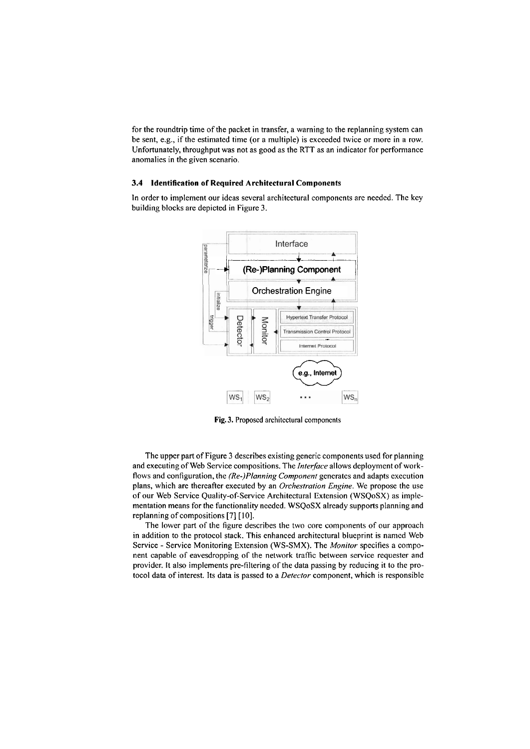for the roundtrip time of the packet in transfer, a warning to the replanning system can be sent, e.g., if the estimated time (or a multiple) is exceeded twice or more in a row. Unfortunately, throughput was not as good as the RTT as an indicator for performance anomalies in the given scenario.

### **3.4 Identification of Required Architectural Components**

In order to implement our idcas several architectural componcnts arc ncedcd. Thc key building blocks are depicted in Figure 3.



Fig. 3. Proposcd architcctural componcnts

The upper part of Figure 3 describes existing generic components used for planning and executing of Web Service compositions. The *Interface* allows deployment of workflows and configuration, the *(Re-)Planning Component* generates and adapts execution plans, which are thercafter executed by an *Orchestration Engine.* We propose the use of our Web Service Quality-of-Service Architectural Extension (WSQoSX) as implcmentation means for the functionality needcd. WSQoSX alrcady supports planning and replanning of compositions [7] [IO].

The lower part of the figure describes the two core components of our approach in addition to the protocol stack. This enhanced architectural blueprint is namcd Web Service - Service Monitoring Extension (WS-SMX). The *Monitor* specifies a component capable of eavesdropping of the network trafiic between service requester and provider. It also implements pre-filtering of'the data passing by reducing it to the protocol data of interest. Its data is passed to a *Detecfor* component, which is responsible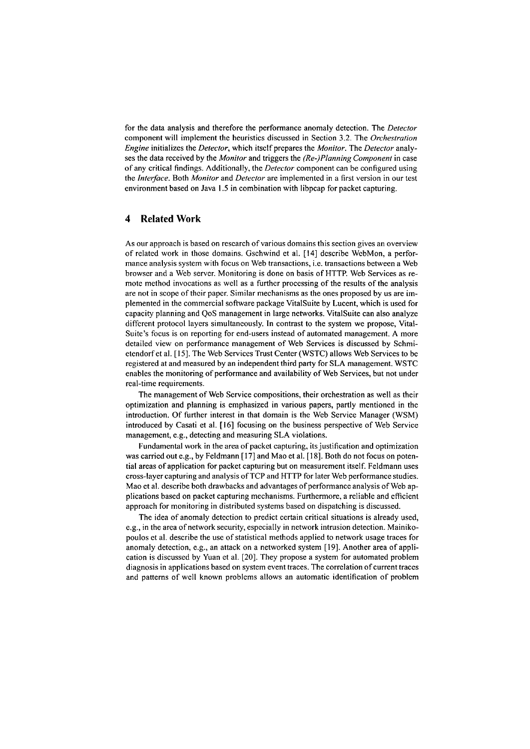for thc data analysis and therefore the performance anomaly detection. The *Detector*  component will iinplement thc heuristics discussed in Section 3.2. The *Orchestration Engine* initializes the *Defecfor,* which itsclf prepares the *Monitor.* The *Detector* analyses the data received by the *Monitor* and triggers the *(Re-)Planning Cornponent* in case of any critical findings. Additionally, the *Detector* component can be configured using the *Interface*. Both *Monitor* and *Detector* are implemented in a first version in our test environment based on Java 1.5 in combination with libpcap for packet capturing.

# **4 Related Work**

As our approach is based on rescarch of various domains this section gives an overview of related work in those dornains. Gschwind et al. [I41 describe WebMon, a performance analysis system with focus on Web transactions, i.e. transactions between a Web browser and a Web servcr. Monitoring is done on basis of HTTP. Web Services as remote method invocations as well as a further processing of the results of the analysis are not in scope of their paper. Similar mechanisms as the ones proposed by us are implemented in the commercial software package VitalSuite by Lucent, which is used for capacity planning and QoS management in large networks. VitalSuite can also analyze diffcrent protocol layers simultaneously. In contrast to the system we propose, Vital-Suite's focus is on reporting for end-users instead of automated management. A more detailed view on performance management of Web Services is discussed by Schmietendorf et al. [15]. The Web Services Trust Center (WSTC) allows Web Services to be registered at and measured by an independent third party for SLA management. WSTC enables the monitoring of performance and availability of Web Services, but not under real-time requirements.

The management of Web Service compositions, their orchestration as well as their optimization and planning is emphasized in various papers, partly mentioned in the introduction. Of further interest in that domain is the Web Service Manager (WSM) introduced by Casati et al. [I61 focusing on the business perspective of Web Service management, e.g., detecting and measuring SLA violations.

Fundamental work in the area of packet capturing, its justification and optimization was carried out e.g., by Feldmann [17] and Mao et al. [18]. Both do not focus on potential areas of application for packet capturing but on measurement itself. Feldmann uses cross-layer capturing and analysis of TCP and HTTP for later Web performance studies. Mao et al. describe both drawbacks and advantages of performance analysis of Web applications based on packet capturing mechanisms. Furthermore, a reliable and efficient approach for monitoring in distributed systems based on dispatching is discussed.

The idea of anomaly detection to predict certain critical situations is already used, e.g., in the area of network security, especially in network intrusion detection. Mainikopoulos ct al. describe the usc of statistical methods applied to network usage traces for anomaly detection, e.g., an attack on a networked system [19]. Another area of application is discussed by Yuan et al. [20]. They propose a system for automated problem diagnosis in applications based on system event traces. The correlation of current traces and patterns of well known problems allows an automatic identification of problem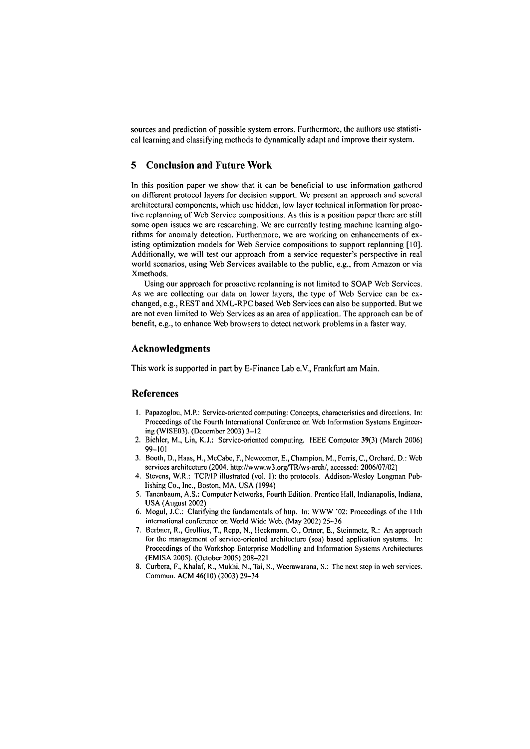sources and prediction of possible system errors. Furthermore, the authors use statistical learning and classifying methods to dynamically adapt and improve their system.

## **5 Conclusion and Future Work**

In this position paper we show that it can be beneficial to use information gathered on different protocol layers for decision support. Wc present an approach and several architectural components, which use hidden, low layer technical information for proactive replanning of Web Service compositions. As this is a position paper there are still some Open issues we are researching. We are currently testing machine learning algorithms for anomaly detection. Furthermore, we are working on enhancements of existing optimization models for Web Service compositions to support replanning [IO]. Additionally, we will test our approach from a service requester's perspective in real world scenarios, using Web Services available to the public, e.g., from Amazon or via Xmethods.

Using our approach for proactivc replanning is not limited to SOAP Web Services. As we are collecting our data on lower layers, the type of Web Service can be exchanged, e.g., REST and XML-RPC based Web Services can also be supported. But wc are not even liniited to Web Services as an area of application. The approach can be of benefit, e.g., to enhance Web browsers to detect network problems in a faster way.

## **Acknowledgments**

This work is supported in part by E-Finance Lab e.V., Frankfurt am Main.

### **References**

- I. Papazoglou, M.P.: Scrvicc-oricntcd computing: Conccpts, charactcristics and dircctions. In: Proccedings of the Fourth International Conference on Web Information Systems Engineering (WISE03). (Dcccmbcr 2003) 3-12
- 2. Bichler, M., Lin, K.J.: Service-oriented computing. IEEE Computer 39(3) (March 2006) 99-10 1
- 3. Booth, D., Haas, H., McCabc, F., Ncwcomcr, E.,Champion, M., Fcrris, C., Orchard, D.: Wcb scwiccs architccturc (2004. **http://www.w3.org/TR/ws-arch/,** acccsscd: 2006/07/02)
- 4. Stevens, W.R.: TCP/IP illustrated (vol. 1): the protocols. Addison-Wesley Longman Publishing Co., Inc., Boston, MA, USA (1994)
- 5. Tancnbaum, A.S.: Computcr Nctworks, Fourth Edition. Prcnticc Hall, Indianapolis, Indiana, USA (August 2002)
- 6. Mogul, J.C.: Clarifying the fundamentals of http. In: WWW '02: Proceedings of the 11th international conference on World Wide Web. (May 2002) 25-36
- 7. Bcrbncr, R., Grollius, T., Rcpp, N., Hcckmann, O., Ortncr, E., Stcinmctz, R.: An approach for thc managcmcnt of scrvicc-oricntcd architccturc (soa) bascd application systcms. In: Procccdings of thc Workshop Entcrprisc Modclling and Information Systcms Architccturcs (EMISA 2005). (Octobcr 2005) 208-221
- 8. Curbcra, F., Khalaf, R., Mukhi, N., Tai, S., Wccrawarana, S.: Thc ncxt stcp in wcb scrviccs. Commun. ACM 46(10) (2003) 29-34